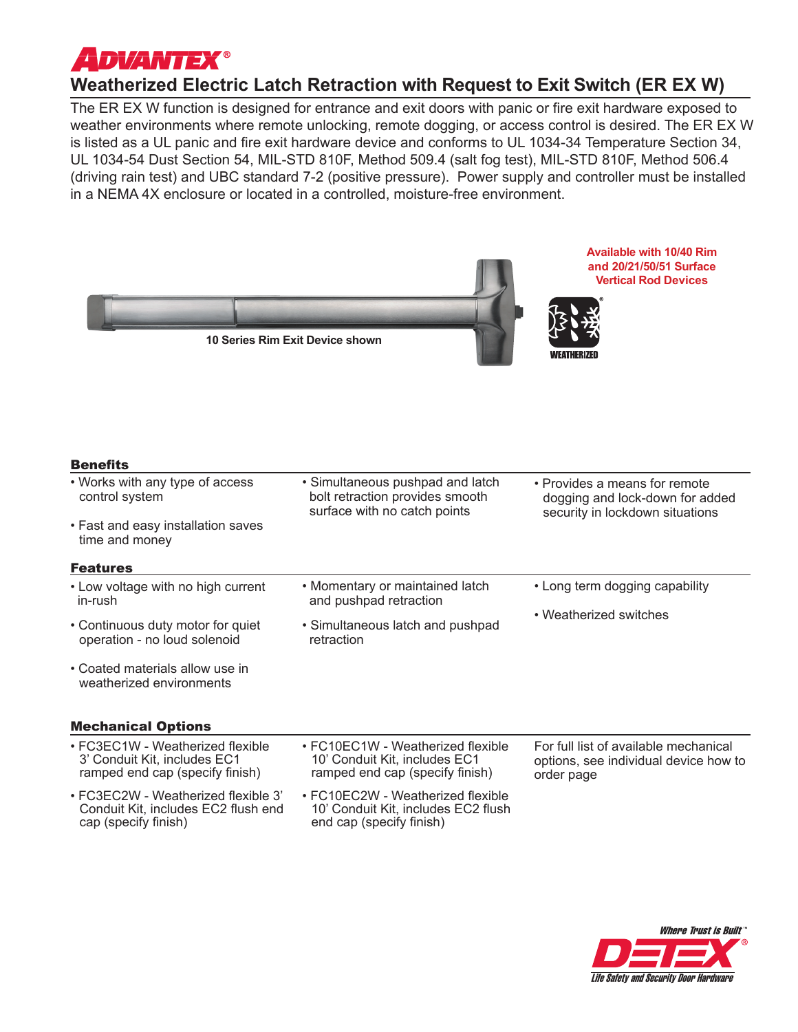

## **Weatherized Electric Latch Retraction with Request to Exit Switch (ER EX W)**

The ER EX W function is designed for entrance and exit doors with panic or fire exit hardware exposed to weather environments where remote unlocking, remote dogging, or access control is desired. The ER EX W is listed as a UL panic and fire exit hardware device and conforms to UL 1034-34 Temperature Section 34, UL 1034-54 Dust Section 54, MIL-STD 810F, Method 509.4 (salt fog test), MIL-STD 810F, Method 506.4 (driving rain test) and UBC standard 7-2 (positive pressure). Power supply and controller must be installed in a NEMA 4X enclosure or located in a controlled, moisture-free environment.

| <b>Available with 10/40 Rim</b><br>and 20/21/50/51 Surface<br><b>Vertical Rod Devices</b><br>10 Series Rim Exit Device shown |                                                                                                       |                                                                                                     |  |
|------------------------------------------------------------------------------------------------------------------------------|-------------------------------------------------------------------------------------------------------|-----------------------------------------------------------------------------------------------------|--|
| <b>Benefits</b>                                                                                                              |                                                                                                       |                                                                                                     |  |
| • Works with any type of access<br>control system                                                                            | • Simultaneous pushpad and latch<br>bolt retraction provides smooth<br>surface with no catch points   | • Provides a means for remote<br>dogging and lock-down for added<br>security in lockdown situations |  |
| • Fast and easy installation saves<br>time and money                                                                         |                                                                                                       |                                                                                                     |  |
| <b>Features</b>                                                                                                              |                                                                                                       |                                                                                                     |  |
| • Low voltage with no high current<br>in-rush                                                                                | • Momentary or maintained latch<br>and pushpad retraction                                             | • Long term dogging capability                                                                      |  |
| • Continuous duty motor for quiet<br>operation - no loud solenoid                                                            | · Simultaneous latch and pushpad<br>retraction                                                        | • Weatherized switches                                                                              |  |
| • Coated materials allow use in<br>weatherized environments                                                                  |                                                                                                       |                                                                                                     |  |
| <b>Mechanical Options</b>                                                                                                    |                                                                                                       |                                                                                                     |  |
| • FC3EC1W - Weatherized flexible<br>3' Conduit Kit, includes EC1<br>ramped end cap (specify finish)                          | • FC10EC1W - Weatherized flexible<br>10' Conduit Kit, includes EC1<br>ramped end cap (specify finish) | For full list of available mechanical<br>options, see individual device how to<br>order page        |  |
| • FC3EC2W - Weatherized flexible 3'<br>Conduit Kit, includes EC2 flush end<br>cap (specify finish)                           | • FC10EC2W - Weatherized flexible<br>10' Conduit Kit, includes EC2 flush<br>end cap (specify finish)  |                                                                                                     |  |